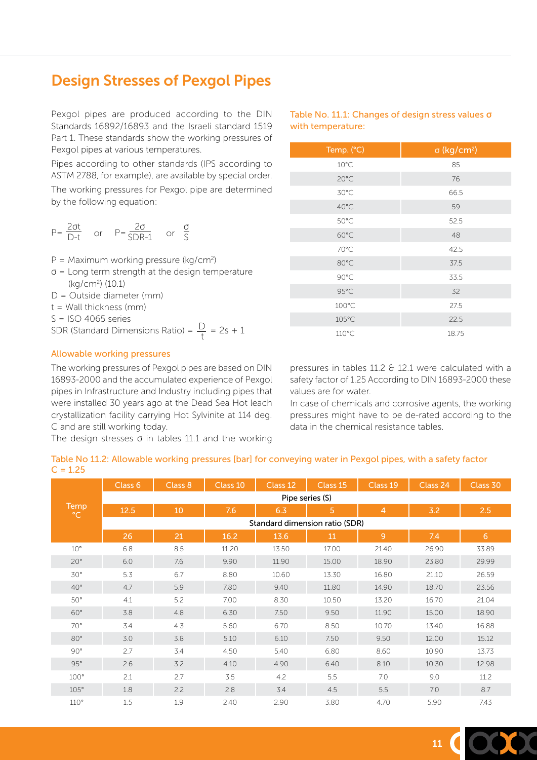## Design Stresses of Pexgol Pipes

Pexgol pipes are produced according to the DIN Standards 16892/16893 and the Israeli standard 1519 Part 1. These standards show the working pressures of Pexgol pipes at various temperatures.

Pipes according to other standards (IPS according to ASTM 2788, for example), are available by special order. The working pressures for Pexgol pipe are determined

by the following equation:

$$
P = \frac{2\sigma t}{D - t} \quad \text{or} \quad P = \frac{2\sigma}{SDR - 1} \quad \text{or} \quad \frac{\sigma}{S}
$$

 $P =$  Maximum working pressure (kg/cm<sup>2</sup>)

- $\sigma$  = Long term strength at the design temperature (kg/cm2 ) (10.1)
- D = Outside diameter (mm)
- t = Wall thickness (mm)
- $S = ISO 4065$  series

SDR (Standard Dimensions Ratio) =  $\frac{D}{t}$  = 2s + 1

## Allowable working pressures

The working pressures of Pexgol pipes are based on DIN 16893-2000 and the accumulated experience of Pexgol pipes in Infrastructure and Industry including pipes that were installed 30 years ago at the Dead Sea Hot leach crystallization facility carrying Hot Sylvinite at 114 deg. C and are still working today.

The design stresses  $\sigma$  in tables 11.1 and the working

Table No. 11.1: Changes of design stress values **σ** with temperature:

| Temp. (°C)     | $\sigma$ (kg/cm <sup>2</sup> ) |
|----------------|--------------------------------|
| $10^{\circ}$ C | 85                             |
| 20°C           | 76                             |
| 30°C           | 66.5                           |
| 40°C           | 59                             |
| $50^{\circ}$ C | 52.5                           |
| $60^{\circ}$ C | 48                             |
| 70°C           | 42.5                           |
| 80°C           | 37.5                           |
| 90°C           | 33.5                           |
| 95°C           | 32                             |
| 100°C          | 27.5                           |
| 105°C          | 22.5                           |
| 110°C          | 18.75                          |

pressures in tables 11.2 & 12.1 were calculated with a safety factor of 1.25 According to DIN 16893-2000 these values are for water.

In case of chemicals and corrosive agents, the working pressures might have to be de-rated according to the data in the chemical resistance tables.

| Table No 11.2: Allowable working pressures [bar] for conveying water in Pexgol pipes, with a safety factor |  |
|------------------------------------------------------------------------------------------------------------|--|
| $C = 1.25$                                                                                                 |  |

|                      | Class 6         | Class 8                        | Class 10 | Class 12 | Class <sub>15</sub> | Class 19       | Class 24 | Class 30 |  |  |
|----------------------|-----------------|--------------------------------|----------|----------|---------------------|----------------|----------|----------|--|--|
|                      | Pipe series (S) |                                |          |          |                     |                |          |          |  |  |
| Temp<br>$^{\circ}$ C | 12.5            | 10                             | 7.6      | 6.3      | 5                   | $\overline{4}$ | 3.2      | 2.5      |  |  |
|                      |                 | Standard dimension ratio (SDR) |          |          |                     |                |          |          |  |  |
|                      | 26              | 21                             | 16.2     | 13.6     | 11                  | $\overline{9}$ | 7.4      | 6        |  |  |
| $10^{\circ}$         | 6.8             | 8.5                            | 11.20    | 13.50    | 17.00               | 21.40          | 26.90    | 33.89    |  |  |
| $20^{\circ}$         | 6.0             | 7.6                            | 9.90     | 11.90    | 15.00               | 18.90          | 23.80    | 29.99    |  |  |
| $30^{\circ}$         | 5.3             | 6.7                            | 8.80     | 10.60    | 13.30               | 16.80          | 21.10    | 26.59    |  |  |
| $40^{\circ}$         | 4.7             | 5.9                            | 7.80     | 9.40     | 11.80               | 14.90          | 18.70    | 23.56    |  |  |
| $50^\circ$           | 4.1             | 5.2                            | 7.00     | 8.30     | 10.50               | 13.20          | 16.70    | 21.04    |  |  |
| $60^\circ$           | 3.8             | 4.8                            | 6.30     | 7.50     | 9.50                | 11.90          | 15.00    | 18.90    |  |  |
| $70^{\circ}$         | 3.4             | 4.3                            | 5.60     | 6.70     | 8.50                | 10.70          | 13.40    | 16.88    |  |  |
| $80^\circ$           | 3.0             | 3.8                            | 5.10     | 6.10     | 7.50                | 9.50           | 12.00    | 15.12    |  |  |
| 90°                  | 2.7             | 3.4                            | 4.50     | 5.40     | 6.80                | 8.60           | 10.90    | 13.73    |  |  |
| 95°                  | 2.6             | 3.2                            | 4.10     | 4.90     | 6.40                | 8.10           | 10.30    | 12.98    |  |  |
| $100^\circ$          | 2.1             | 2.7                            | 3.5      | 4.2      | 5.5                 | 7.0            | 9.0      | 11.2     |  |  |
| 105°                 | 1.8             | 2.2                            | 2.8      | 3.4      | 4.5                 | 5.5            | 7.0      | 8.7      |  |  |
| 110°                 | $1.5\,$         | 1.9                            | 2.40     | 2.90     | 3.80                | 4.70           | 5.90     | 7.43     |  |  |